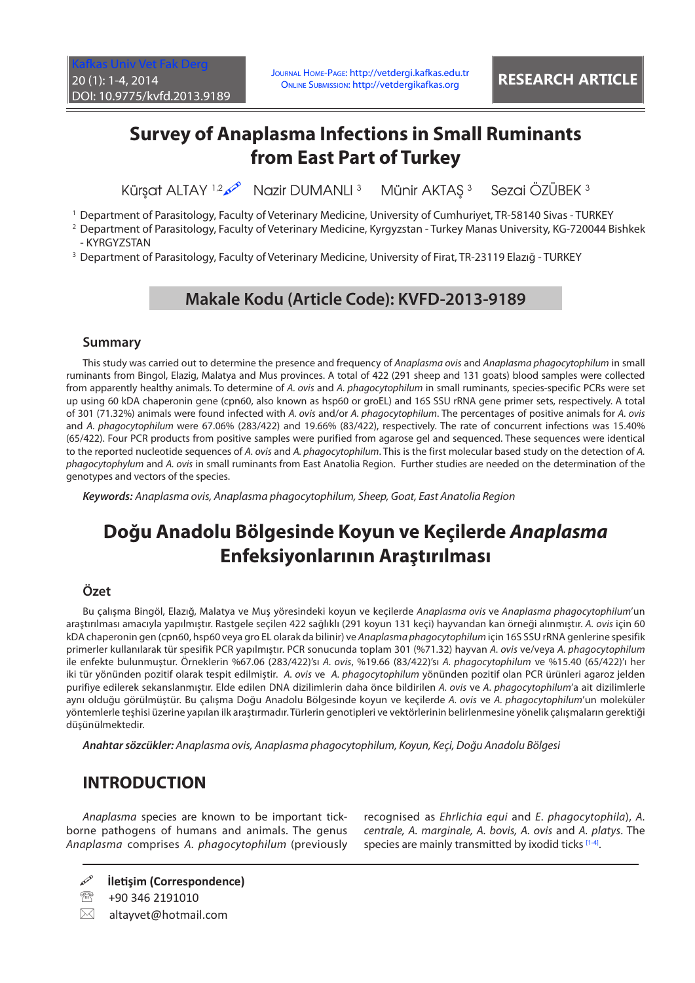# **Survey of Anaplasma Infections in Small Ruminants from East Part of Turkey**

Kürşat ALTAY 1,2 Mazir DUMANLI 3 Münir AKTAŞ 3 Sezai ÖZÜBEK 3

1 Department of Parasitology, Faculty of Veterinary Medicine, University of Cumhuriyet, TR-58140 Sivas - TURKEY

- 2 Department of Parasitology, Faculty of Veterinary Medicine, Kyrgyzstan Turkey Manas University, KG-720044 Bishkek - KYRGYZSTAN
- 3 Department of Parasitology, Faculty of Veterinary Medicine, University of Firat, TR-23119 Elazığ TURKEY

## **Makale Kodu (Article Code): KVFD-2013-9189**

#### **Summary**

This study was carried out to determine the presence and frequency of *Anaplasma ovis* and *Anaplasma phagocytophilum* in small ruminants from Bingol, Elazig, Malatya and Mus provinces. A total of 422 (291 sheep and 131 goats) blood samples were collected from apparently healthy animals. To determine of *A. ovis* and *A. phagocytophilum* in small ruminants, species-specific PCRs were set up using 60 kDA chaperonin gene (cpn60, also known as hsp60 or groEL) and 16S SSU rRNA gene primer sets, respectively. A total of 301 (71.32%) animals were found infected with *A. ovis* and/or *A. phagocytophilum*. The percentages of positive animals for *A. ovis*  and *A. phagocytophilum* were 67.06% (283/422) and 19.66% (83/422), respectively. The rate of concurrent infections was 15.40% (65/422). Four PCR products from positive samples were purified from agarose gel and sequenced. These sequences were identical to the reported nucleotide sequences of *A. ovis* and *A. phagocytophilum*. This is the first molecular based study on the detection of *A. phagocytophylum* and *A. ovis* in small ruminants from East Anatolia Region. Further studies are needed on the determination of the genotypes and vectors of the species.

*Keywords: Anaplasma ovis, Anaplasma phagocytophilum, Sheep, Goat, East Anatolia Region*

# **Doğu Anadolu Bölgesinde Koyun ve Keçilerde** *Anaplasma* **Enfeksiyonlarının Araştırılması**

### **Özet**

Bu çalışma Bingöl, Elazığ, Malatya ve Muş yöresindeki koyun ve keçilerde *Anaplasma ovis* ve *Anaplasma phagocytophilum*'un araştırılması amacıyla yapılmıştır. Rastgele seçilen 422 sağlıklı (291 koyun 131 keçi) hayvandan kan örneği alınmıştır. *A. ovis* için 60 kDA chaperonin gen (cpn60, hsp60 veya gro EL olarak da bilinir) ve *Anaplasma phagocytophilum* için 16S SSU rRNA genlerine spesifik primerler kullanılarak tür spesifik PCR yapılmıştır. PCR sonucunda toplam 301 (%71.32) hayvan *A. ovis* ve/veya *A. phagocytophilum* ile enfekte bulunmuştur. Örneklerin %67.06 (283/422)'sı *A. ovis*, %19.66 (83/422)'sı *A. phagocytophilum* ve %15.40 (65/422)'ı her iki tür yönünden pozitif olarak tespit edilmiştir. *A. ovis* ve *A. phagocytophilum* yönünden pozitif olan PCR ürünleri agaroz jelden purifiye edilerek sekanslanmıştır. Elde edilen DNA dizilimlerin daha önce bildirilen *A. ovis* ve *A. phagocytophilum*'a ait dizilimlerle aynı olduğu görülmüştür. Bu çalışma Doğu Anadolu Bölgesinde koyun ve keçilerde *A. ovis* ve *A. phagocytophilum*'un moleküler yöntemlerle teşhisi üzerine yapılan ilk araştırmadır. Türlerin genotipleri ve vektörlerinin belirlenmesine yönelik çalışmaların gerektiği düşünülmektedir.

*Anahtar sözcükler: Anaplasma ovis, Anaplasma phagocytophilum, Koyun, Keçi, Doğu Anadolu Bölgesi*

## **INTRODUCTION**

*Anaplasma* species are known to be important tickborne pathogens of humans and animals. The genus *Anaplasma* comprises *A. phagocytophilum* (previously

 $\boxtimes$  altayvet@hotmail.com

recognised as *Ehrlichia equi* and *E*. *phagocytophila*), *A. centrale, A. marginale, A. bovis, A. ovis* and *A. platys*. The species are mainly transmitted by ixodid ticks [\[1-4\]](#page-2-0).

**İletişim (Correspondence)**

<sup>● +90 346 2191010</sup>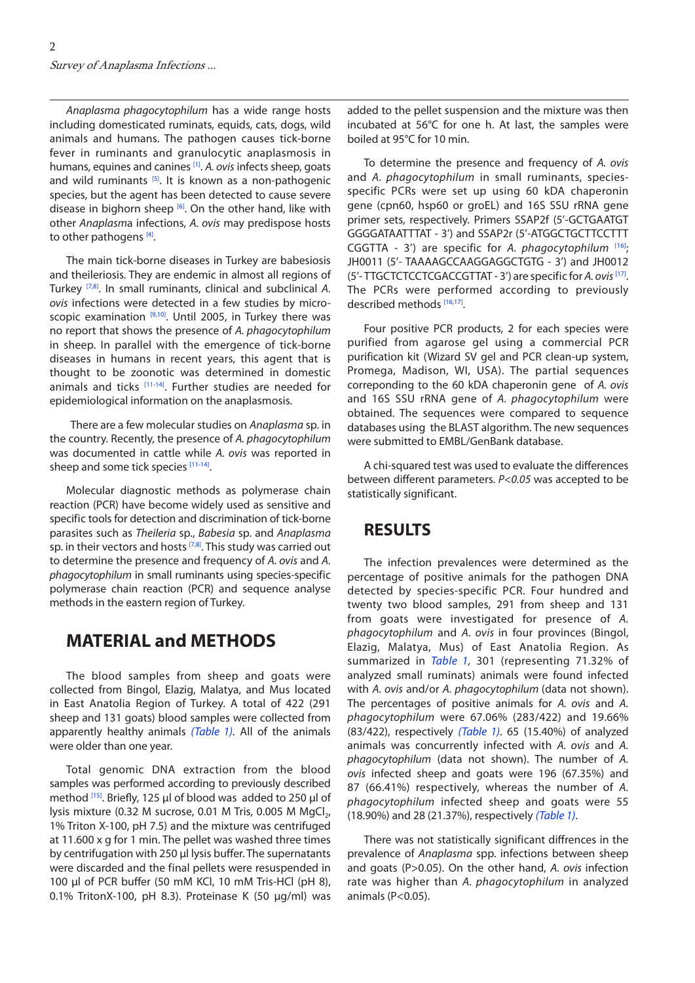<span id="page-1-0"></span>*Anaplasma phagocytophilum* has a wide range hosts including domesticated ruminats, equids, cats, dogs, wild animals and humans. The pathogen causes tick-borne fever in ruminants and granulocytic anaplasmosis in humans, equines and canines [\[1\].](#page-2-0) *A. ovis* infects sheep, goats and wild ruminants  $[5]$ . It is known as a non-pathogenic species, but the agent has been detected to cause severe disease in bighorn sheep  $[6]$ . On the other hand, like with other *Anaplasm*a infections, *A. ovis* may predispose hosts to other pathogens<sup>[4]</sup>.

The main tick-borne diseases in Turkey are babesiosis and theileriosis. They are endemic in almost all regions of Turkey [[7,8\].](#page-3-0) In small ruminants, clinical and subclinical *A. ovis* infections were detected in a few studies by microscopic examination  $[9,10]$ . Until 2005, in Turkey there was no report that shows the presence of *A. phagocytophilum* in sheep. In parallel with the emergence of tick-borne diseases in humans in recent years, this agent that is thought to be zoonotic was determined in domestic animals and ticks  $[11-14]$ . Further studies are needed for epidemiological information on the anaplasmosis.

 There are a few molecular studies on *Anaplasma* sp. in the country. Recently, the presence of *A. phagocytophilum*  was documented in cattle while *A. ovis* was reported in sheep and some tick species [\[11-14\].](#page-3-0)

Molecular diagnostic methods as polymerase chain reaction (PCR) have become widely used as sensitive and specific tools for detection and discrimination of tick-borne parasites such as *Theileria* sp., *Babesia* sp. and *Anaplasma*  sp. in their vectors and hosts  $[7,8]$ . This study was carried out to determine the presence and frequency of *A. ovis* and *A. phagocytophilum* in small ruminants using species-specific polymerase chain reaction (PCR) and sequence analyse methods in the eastern region of Turkey.

## **MATERIAL and METHODS**

The blood samples from sheep and goats were collected from Bingol, Elazig, Malatya, and Mus located in East Anatolia Region of Turkey. A total of 422 (291 sheep and 131 goats) blood samples were collected from apparently healthy animals *([Table 1\).](#page-2-0)* All of the animals were older than one year.

Total genomic DNA extraction from the blood samples was performed according to previously described method <a>[15]</a>. Briefly, 125 µl of blood was added to 250 µl of lysis mixture (0.32 M sucrose, 0.01 M Tris, 0.005 M MgCl<sub>2</sub>, 1% Triton X-100, pH 7.5) and the mixture was centrifuged at 11.600 x g for 1 min. The pellet was washed three times by centrifugation with 250 µl lysis buffer. The supernatants were discarded and the final pellets were resuspended in 100 µl of PCR buffer (50 mM KCl, 10 mM Tris-HCl (pH 8), 0.1% TritonX-100, pH 8.3). Proteinase K (50 µg/ml) was

added to the pellet suspension and the mixture was then incubated at 56°C for one h. At last, the samples were boiled at 95°C for 10 min.

To determine the presence and frequency of *A. ovis* and *A. phagocytophilum* in small ruminants, speciesspecific PCRs were set up using 60 kDA chaperonin gene (cpn60, hsp60 or groEL) and 16S SSU rRNA gene primer sets, respectively. Primers SSAP2f (5'-GCTGAATGT GGGGATAATTTAT - 3') and SSAP2r (5'-ATGGCTGCTTCCTTT CGGTTA - 3') are specific for *A. phagocytophilum* [[16\];](#page-3-0) JH0011 (5'- TAAAAGCCAAGGAGGCTGTG - 3') and JH0012 (5'- TTGCTCTCCTCGACCGTTAT - 3') are specific for *A. ovis*[[17\].](#page-3-0) The PCRs were performed according to previously described methods [[16,17\].](#page-3-0)

Four positive PCR products, 2 for each species were purified from agarose gel using a commercial PCR purification kit (Wizard SV gel and PCR clean-up system, Promega, Madison, WI, USA). The partial sequences correponding to the 60 kDA chaperonin gene of *A. ovis* and 16S SSU rRNA gene of *A. phagocytophilum* were obtained. The sequences were compared to sequence databases using the BLAST algorithm. The new sequences were submitted to EMBL/GenBank database.

A chi-squared test was used to evaluate the differences between different parameters. *P<0.05* was accepted to be statistically significant.

### **RESULTS**

The infection prevalences were determined as the percentage of positive animals for the pathogen DNA detected by species-specific PCR. Four hundred and twenty two blood samples, 291 from sheep and 131 from goats were investigated for presence of *A. phagocytophilum* and *A. ovis* in four provinces (Bingol, Elazig, Malatya, Mus) of East Anatolia Region. As summarized in *[Table 1,](#page-2-0)* 301 (representing 71.32% of analyzed small ruminats) animals were found infected with *A. ovis* and/or *A. phagocytophilum* (data not shown). The percentages of positive animals for *A. ovis* and *A. phagocytophilum* were 67.06% (283/422) and 19.66% (83/422), respectively *([Table 1\)](#page-2-0)*. 65 (15.40%) of analyzed animals was concurrently infected with *A. ovis* and *A. phagocytophilum* (data not shown). The number of *A. ovis* infected sheep and goats were 196 (67.35%) and 87 (66.41%) respectively, whereas the number of *A. phagocytophilum* infected sheep and goats were 55 (18.90%) and 28 (21.37%), respectively *([Table 1\)](#page-2-0)*.

There was not statistically significant diffrences in the prevalence of *Anaplasma* spp. infections between sheep and goats (P>0.05). On the other hand, *A. ovis* infection rate was higher than *A. phagocytophilum* in analyzed animals (P<0.05).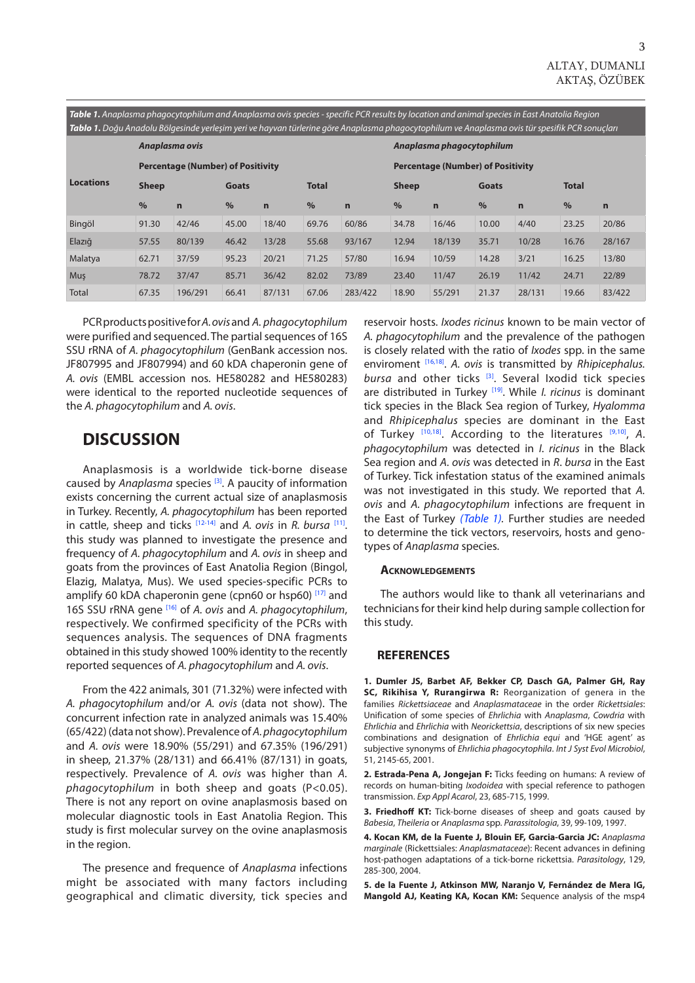<span id="page-2-0"></span>*Table 1. Anaplasma phagocytophilum and Anaplasma ovis species - specific PCR results by location and animal species in East Anatolia Region Tablo 1. Doğu Anadolu Bölgesinde yerleşim yeri ve hayvan türlerine göre Anaplasma phagocytophilum ve Anaplasma ovis tür spesifik PCR sonuçları*

| ниего на водит плавота вопрезитае усперии уси те наутан санение догет плавтазина римдосусорниян тет плавная сат эрезинкт ен зонтастан |                                          |             |              |             |              |              |                                          |             |              |             |              |        |
|---------------------------------------------------------------------------------------------------------------------------------------|------------------------------------------|-------------|--------------|-------------|--------------|--------------|------------------------------------------|-------------|--------------|-------------|--------------|--------|
|                                                                                                                                       | Anaplasma ovis                           |             |              |             |              |              | Anaplasma phagocytophilum                |             |              |             |              |        |
| <b>Locations</b>                                                                                                                      | <b>Percentage (Number) of Positivity</b> |             |              |             |              |              | <b>Percentage (Number) of Positivity</b> |             |              |             |              |        |
|                                                                                                                                       | <b>Sheep</b>                             |             | <b>Goats</b> |             | <b>Total</b> |              | <b>Sheep</b>                             |             | <b>Goats</b> |             | <b>Total</b> |        |
|                                                                                                                                       | $\%$                                     | $\mathbf n$ | $\%$         | $\mathbf n$ | $\%$         | $\mathsf{n}$ | $\%$                                     | $\mathbf n$ | $\%$         | $\mathbf n$ | $\%$         | n      |
| Bingöl                                                                                                                                | 91.30                                    | 42/46       | 45.00        | 18/40       | 69.76        | 60/86        | 34.78                                    | 16/46       | 10.00        | 4/40        | 23.25        | 20/86  |
| Elazığ                                                                                                                                | 57.55                                    | 80/139      | 46.42        | 13/28       | 55.68        | 93/167       | 12.94                                    | 18/139      | 35.71        | 10/28       | 16.76        | 28/167 |
| Malatya                                                                                                                               | 62.71                                    | 37/59       | 95.23        | 20/21       | 71.25        | 57/80        | 16.94                                    | 10/59       | 14.28        | 3/21        | 16.25        | 13/80  |
| Mus                                                                                                                                   | 78.72                                    | 37/47       | 85.71        | 36/42       | 82.02        | 73/89        | 23.40                                    | 11/47       | 26.19        | 11/42       | 24.71        | 22/89  |
| Total                                                                                                                                 | 67.35                                    | 196/291     | 66.41        | 87/131      | 67.06        | 283/422      | 18.90                                    | 55/291      | 21.37        | 28/131      | 19.66        | 83/422 |

PCR products positive for *A. ovis* and *A. phagocytophilum* were purified and sequenced. The partial sequences of 16S SSU rRNA of *A. phagocytophilum* (GenBank accession nos. JF807995 and JF807994) and 60 kDA chaperonin gene of *A. ovis* (EMBL accession nos. HE580282 and HE580283) were identical to the reported nucleotide sequences of the *A. phagocytophilum* and *A. ovis*.

### **DISCUSSION**

Anaplasmosis is a worldwide tick-borne disease caused by *Anaplasma* species [3]. A paucity of information exists concerning the current actual size of anaplasmosis in Turkey. Recently, *A. phagocytophilum* has been reported in cattle, sheep and ticks [\[12-14](#page-3-0)] and *A. ovis* in *R. bursa* [[11\].](#page-3-0)  this study was planned to investigate the presence and frequency of *A. phagocytophilum* and *A. ovis* in sheep and goats from the provinces of East Anatolia Region (Bingol, Elazig, Malatya, Mus). We used species-specific PCRs to amplify 60 kDA chaperonin gene (cpn60 or hsp60) [[17\]](#page-3-0) and 16S SSU rRNA gene [[16\]](#page-3-0) of *A. ovis* and *A. phagocytophilum*, respectively. We confirmed specificity of the PCRs with sequences analysis. The sequences of DNA fragments obtained in this study showed 100% identity to the recently reported sequences of *A. phagocytophilum* and *A. ovis*.

From the 422 animals, 301 (71.32%) were infected with *A. phagocytophilum* and/or *A. ovis* (data not show). The concurrent infection rate in analyzed animals was 15.40% (65/422) (data not show). Prevalence of *A. phagocytophilum* and *A. ovis* were 18.90% (55/291) and 67.35% (196/291) in sheep, 21.37% (28/131) and 66.41% (87/131) in goats, respectively. Prevalence of *A. ovis* was higher than *A. phagocytophilum* in both sheep and goats (P<0.05). There is not any report on ovine anaplasmosis based on molecular diagnostic tools in East Anatolia Region. This study is first molecular survey on the ovine anaplasmosis in the region.

The presence and frequence of *Anaplasma* infections might be associated with many factors including geographical and climatic diversity, tick species and reservoir hosts. *Ixodes ricinus* known to be main vector of *A. phagocytophilum* and the prevalence of the pathogen is closely related with the ratio of *Ixodes* spp. in the same enviroment [[16,18\].](#page-3-0) *A. ovis* is transmitted by *Rhipicephalus.*  bursa and other ticks<sup>[3]</sup>. Several Ixodid tick species are distributed in Turkey [\[19\].](#page-3-0) While *I. ricinus* is dominant tick species in the Black Sea region of Turkey, *Hyalomma* and *Rhipicephalus* species are dominant in the East of Turkey [[10,18\].](#page-3-0) According to the literatures [\[9,10\],](#page-3-0) *A*. *phagocytophilum* was detected in *I*. *ricinus* in the Black Sea region and *A*. *ovis* was detected in *R*. *bursa* in the East of Turkey. Tick infestation status of the examined animals was not investigated in this study. We reported that *A. ovis* and *A. phagocytophilum* infections are frequent in the East of Turkey *(Table 1).* Further studies are needed to determine the tick vectors, reservoirs, hosts and genotypes of *Anaplasma* species.

#### **Acknowledgements**

The authors would like to thank all veterinarians and technicians for their kind help during sample collection for this study.

#### **REFERENCES**

**1. Dumler JS, Barbet AF, Bekker CP, Dasch GA, Palmer GH, Ray SC, Rikihisa Y, Rurangirwa R:** Reorganization of genera in the families *Rickettsiaceae* and *Anaplasmataceae* in the order *Rickettsiales*: Unification of some species of *Ehrlichia* with *Anaplasma*, *Cowdria* with *Ehrlichia* and *Ehrlichia* with *Neorickettsia*, descriptions of six new species combinations and designation of *Ehrlichia equi* and 'HGE agent' as subjective synonyms of *Ehrlichia phagocytophila*. *Int J Syst Evol Microbiol*, 51, 2145-65, 2001.

**2. Estrada-Pena A, Jongejan F:** Ticks feeding on humans: A review of records on human-biting *Ixodoidea* with special reference to pathogen transmission. *Exp Appl Acarol*, 23, 685-715, 1999.

**3. Friedhoff KT:** Tick-borne diseases of sheep and goats caused by *Babesia*, *Theileria* or *Anaplasma* spp. *Parassitologia*, 39, 99-109, 1997.

**4. Kocan KM, de la Fuente J, Blouin EF, Garcia-Garcia JC:** *Anaplasma marginale* (Rickettsiales: *Anaplasmataceae*): Recent advances in defining host-pathogen adaptations of a tick-borne rickettsia. *Parasitology*, 129, 285-300, 2004.

**5. de la Fuente J, Atkinson MW, Naranjo V, Fernández de Mera IG, Mangold AJ, Keating KA, Kocan KM:** Sequence analysis of the msp4